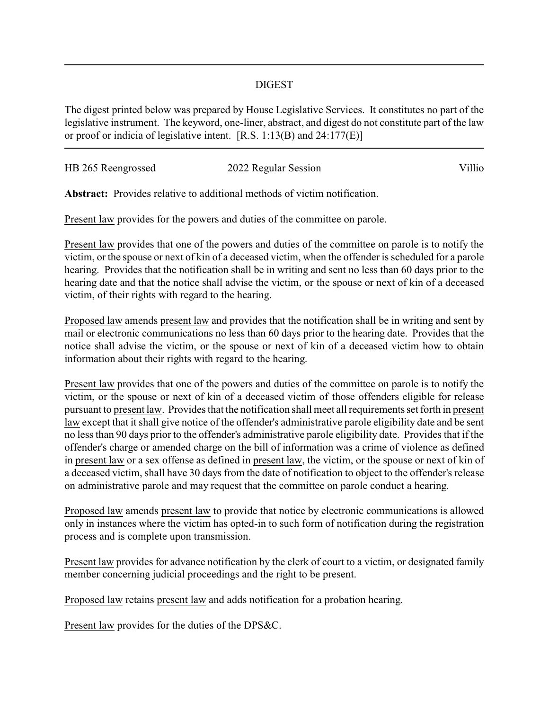## DIGEST

The digest printed below was prepared by House Legislative Services. It constitutes no part of the legislative instrument. The keyword, one-liner, abstract, and digest do not constitute part of the law or proof or indicia of legislative intent. [R.S. 1:13(B) and 24:177(E)]

| HB 265 Reengrossed | 2022 Regular Session | Villio |
|--------------------|----------------------|--------|
|                    |                      |        |

**Abstract:** Provides relative to additional methods of victim notification.

Present law provides for the powers and duties of the committee on parole.

Present law provides that one of the powers and duties of the committee on parole is to notify the victim, or the spouse or next of kin of a deceased victim, when the offender is scheduled for a parole hearing. Provides that the notification shall be in writing and sent no less than 60 days prior to the hearing date and that the notice shall advise the victim, or the spouse or next of kin of a deceased victim, of their rights with regard to the hearing.

Proposed law amends present law and provides that the notification shall be in writing and sent by mail or electronic communications no less than 60 days prior to the hearing date. Provides that the notice shall advise the victim, or the spouse or next of kin of a deceased victim how to obtain information about their rights with regard to the hearing.

Present law provides that one of the powers and duties of the committee on parole is to notify the victim, or the spouse or next of kin of a deceased victim of those offenders eligible for release pursuant to present law. Provides that the notification shall meet all requirements set forth in present law except that it shall give notice of the offender's administrative parole eligibility date and be sent no less than 90 days prior to the offender's administrative parole eligibility date. Provides that if the offender's charge or amended charge on the bill of information was a crime of violence as defined in present law or a sex offense as defined in present law, the victim, or the spouse or next of kin of a deceased victim, shall have 30 days from the date of notification to object to the offender's release on administrative parole and may request that the committee on parole conduct a hearing.

Proposed law amends present law to provide that notice by electronic communications is allowed only in instances where the victim has opted-in to such form of notification during the registration process and is complete upon transmission.

Present law provides for advance notification by the clerk of court to a victim, or designated family member concerning judicial proceedings and the right to be present.

Proposed law retains present law and adds notification for a probation hearing.

Present law provides for the duties of the DPS&C.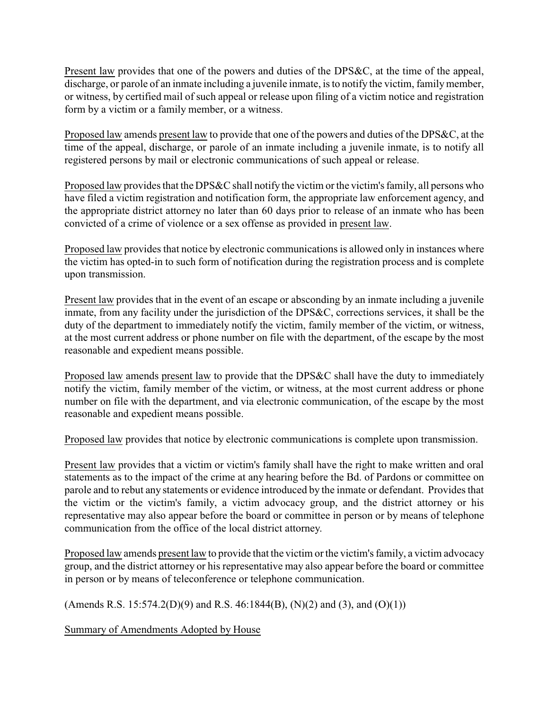Present law provides that one of the powers and duties of the DPS&C, at the time of the appeal, discharge, or parole of an inmate including a juvenile inmate, is to notify the victim, family member, or witness, by certified mail of such appeal or release upon filing of a victim notice and registration form by a victim or a family member, or a witness.

Proposed law amends present law to provide that one of the powers and duties of the DPS&C, at the time of the appeal, discharge, or parole of an inmate including a juvenile inmate, is to notify all registered persons by mail or electronic communications of such appeal or release.

Proposed law provides that the DPS&C shall notify the victim or the victim's family, all persons who have filed a victim registration and notification form, the appropriate law enforcement agency, and the appropriate district attorney no later than 60 days prior to release of an inmate who has been convicted of a crime of violence or a sex offense as provided in present law.

Proposed law provides that notice by electronic communications is allowed only in instances where the victim has opted-in to such form of notification during the registration process and is complete upon transmission.

Present law provides that in the event of an escape or absconding by an inmate including a juvenile inmate, from any facility under the jurisdiction of the DPS&C, corrections services, it shall be the duty of the department to immediately notify the victim, family member of the victim, or witness, at the most current address or phone number on file with the department, of the escape by the most reasonable and expedient means possible.

Proposed law amends present law to provide that the DPS&C shall have the duty to immediately notify the victim, family member of the victim, or witness, at the most current address or phone number on file with the department, and via electronic communication, of the escape by the most reasonable and expedient means possible.

Proposed law provides that notice by electronic communications is complete upon transmission.

Present law provides that a victim or victim's family shall have the right to make written and oral statements as to the impact of the crime at any hearing before the Bd. of Pardons or committee on parole and to rebut any statements or evidence introduced by the inmate or defendant. Provides that the victim or the victim's family, a victim advocacy group, and the district attorney or his representative may also appear before the board or committee in person or by means of telephone communication from the office of the local district attorney.

Proposed law amends present law to provide that the victim or the victim's family, a victim advocacy group, and the district attorney or his representative may also appear before the board or committee in person or by means of teleconference or telephone communication.

(Amends R.S. 15:574.2(D)(9) and R.S. 46:1844(B), (N)(2) and (3), and (O)(1))

Summary of Amendments Adopted by House